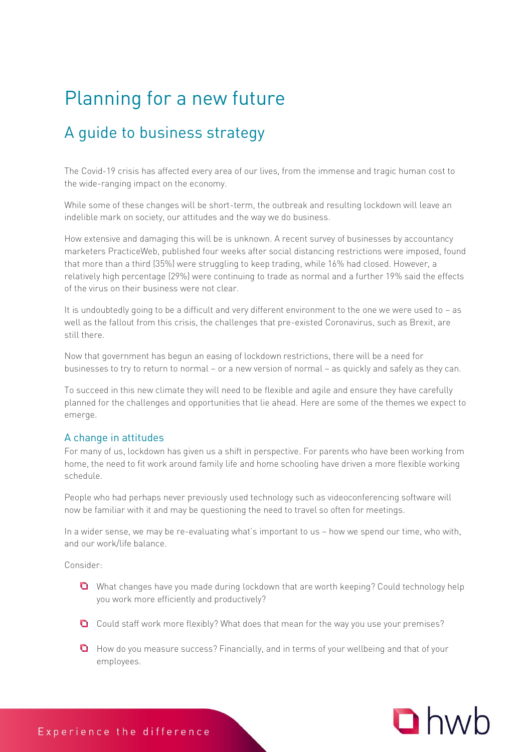# Planning for a new future

## A guide to business strategy

The Covid-19 crisis has affected every area of our lives, from the immense and tragic human cost to the wide-ranging impact on the economy.

While some of these changes will be short-term, the outbreak and resulting lockdown will leave an indelible mark on society, our attitudes and the way we do business.

How extensive and damaging this will be is unknown. A recent survey of businesses by accountancy marketers PracticeWeb, published four weeks after social distancing restrictions were imposed, found that more than a third (35%) were struggling to keep trading, while 16% had closed. However, a relatively high percentage (29%) were continuing to trade as normal and a further 19% said the effects of the virus on their business were not clear.

It is undoubtedly going to be a difficult and very different environment to the one we were used to – as well as the fallout from this crisis, the challenges that pre-existed Coronavirus, such as Brexit, are still there.

Now that government has begun an easing of lockdown restrictions, there will be a need for businesses to try to return to normal – or a new version of normal – as quickly and safely as they can.

To succeed in this new climate they will need to be flexible and agile and ensure they have carefully planned for the challenges and opportunities that lie ahead. Here are some of the themes we expect to emerge.

ہ<br>For many of us, lockdown has given us a shift in perspective. For parents who have been working from home, the need to fit work around family life and home schooling have driven a more flexible working schedule.

People who had perhaps never previously used technology such as videoconferencing software will now be familiar with it and may be questioning the need to travel so often for meetings.

In a wider sense, we may be re-evaluating what's important to us – how we spend our time, who with, and our work/life balance.

Consider:

- **Q** What changes have you made during lockdown that are worth keeping? Could technology help you work more efficiently and productively?
- Could staff work more flexibly? What does that mean for the way you use your premises?
- **Q** How do you measure success? Financially, and in terms of your wellbeing and that of your employees.

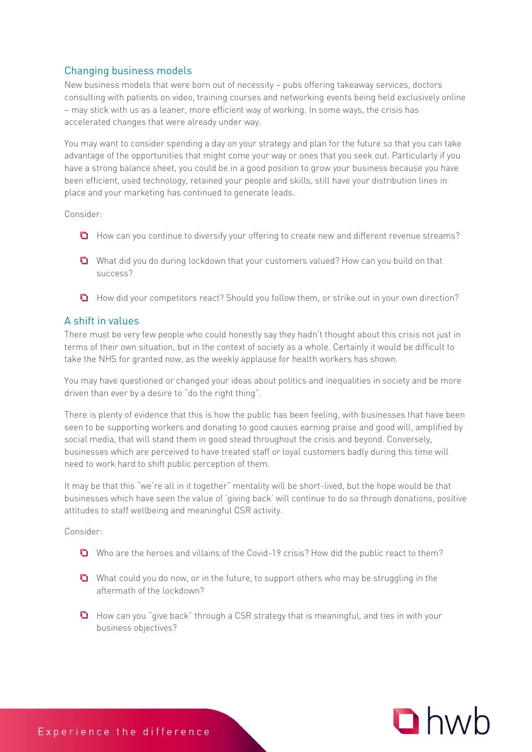New business models that were born out of necessity – pubs offering takeaway services, doctors consulting with patients on video, training courses and networking events being held exclusively online – may stick with us as a leaner, more efficient way of working. In some ways, the crisis has accelerated changes that were already under way.

You may want to consider spending a day on your strategy and plan for the future so that you can take advantage of the opportunities that might come your way or ones that you seek out. Particularly if you have a strong balance sheet, you could be in a good position to grow your business because you have been efficient, used technology, retained your people and skills, still have your distribution lines in place and your marketing has continued to generate leads.

Consider:

- **O** How can you continue to diversify your offering to create new and different revenue streams?
- What did you do during lockdown that your customers valued? How can you build on that success?
- **Q** How did your competitors react? Should you follow them, or strike out in your own direction?

### A shift in values

There must be very few people who could honestly say they hadn't thought about this crisis not just in terms of their own situation, but in the context of society as a whole. Certainly it would be difficult to take the NHS for granted now, as the weekly applause for health workers has shown.

You may have questioned or changed your ideas about politics and inequalities in society and be more driven than ever by a desire to "do the right thing".

There is plenty of evidence that this is how the public has been feeling, with businesses that have been seen to be supporting workers and donating to good causes earning praise and good will, amplified by social media, that will stand them in good stead throughout the crisis and beyond. Conversely, businesses which are perceived to have treated staff or loyal customers badly during this time will need to work hard to shift public perception of them.

It may be that this "we're all in it together" mentality will be short-lived, but the hope would be that businesses which have seen the value of 'giving back' will continue to do so through donations, positive attitudes to staff wellbeing and meaningful CSR activity.

Consider:

- Who are the heroes and villains of the Covid-19 crisis? How did the public react to them?
- What could you do now, or in the future, to support others who may be struggling in the aftermath of the lockdown?
- **Q** How can you "give back" through a CSR strategy that is meaningful, and ties in with your business objectives?

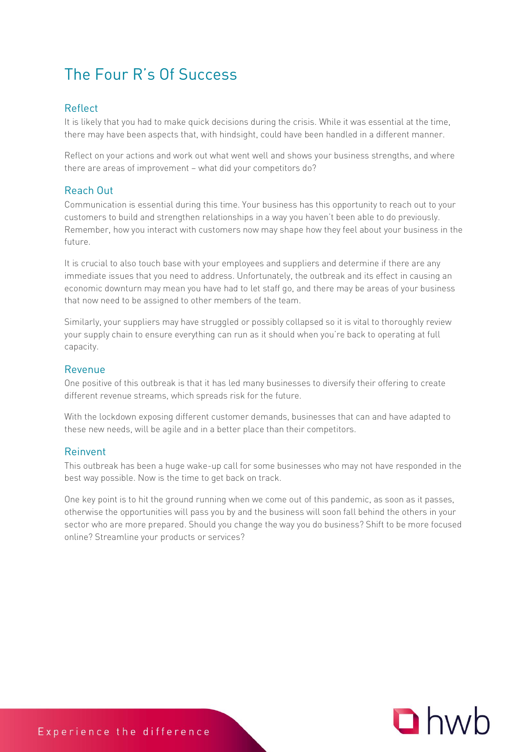## The Four R's Of Success

### Reflect

It is likely that you had to make quick decisions during the crisis. While it was essential at the time, there may have been aspects that, with hindsight, could have been handled in a different manner.

Reflect on your actions and work out what went well and shows your business strengths, and where there are areas of improvement – what did your competitors do?

### Reach Out

Communication is essential during this time. Your business has this opportunity to reach out to your customers to build and strengthen relationships in a way you haven't been able to do previously. Remember, how you interact with customers now may shape how they feel about your business in the future.

It is crucial to also touch base with your employees and suppliers and determine if there are any immediate issues that you need to address. Unfortunately, the outbreak and its effect in causing an economic downturn may mean you have had to let staff go, and there may be areas of your business that now need to be assigned to other members of the team.

Similarly, your suppliers may have struggled or possibly collapsed so it is vital to thoroughly review your supply chain to ensure everything can run as it should when you're back to operating at full capacity.

### Revenue

One positive of this outbreak is that it has led many businesses to diversify their offering to create different revenue streams, which spreads risk for the future.

With the lockdown exposing different customer demands, businesses that can and have adapted to these new needs, will be agile and in a better place than their competitors.

### Reinvent

. . . . . . . . . .<br>This outbreak has been a huge wake-up call for some businesses who may not have responded in the best way possible. Now is the time to get back on track.

One key point is to hit the ground running when we come out of this pandemic, as soon as it passes, otherwise the opportunities will pass you by and the business will soon fall behind the others in your sector who are more prepared. Should you change the way you do business? Shift to be more focused online? Streamline your products or services?